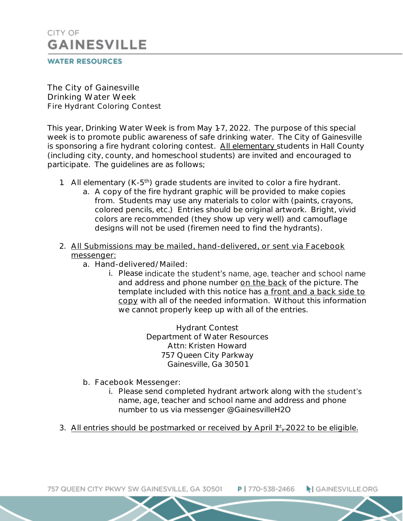## CITY OF **GAINESVILLE**

## **WATER RESOURCES**

The City of Gainesville Drinking Water Week Fire Hydrant Coloring Contest

This year, Drinking Water Week is from May 1-7, 2022. The purpose of this special week is to promote public awareness of safe drinking water. The City of Gainesville is sponsoring a fire hydrant coloring contest. All elementary students in Hall County (including city, county, and homeschool students) are invited and encouraged to participate. The guidelines are as follows;

- 1. All elementary  $(K-5<sup>th</sup>)$  grade students are invited to color a fire hydrant.
	- a. A copy of the fire hydrant graphic will be provided to make copies from. Students may use any materials to color with (paints, crayons, colored pencils, etc.) Entries should be original artwork. Bright, vivid colors are recommended (they show up very well) and camouflage designs will not be used (firemen need to find the hydrants).
- 2. All Submissions may be mailed, hand-delivered, or sent via Facebook messenger:
	- a. Hand-delivered/Mailed:
		- i. Please indicate the student's name, age, teacher and school name and address and phone number on the back of the picture. The template included with this notice has a front and a back side to copy with all of the needed information. Without this information we cannot properly keep up with all of the entries.

Hydrant Contest Department of Water Resources Attn: Kristen Howard 757 Queen City Parkway Gainesville, Ga 30501

- b. Facebook Messenger:
	- i. Please send completed hydrant artwork along with the student's name, age, teacher and school name and address and phone number to us via messenger @GainesvilleH2O
- 3. All entries should be postmarked or received by April 1st, -2022 to be eligible.

757 QUEEN CITY PKWY SW GAINESVILLE, GA 30501 P | 770-538-2466 I GAINESVILLE.ORG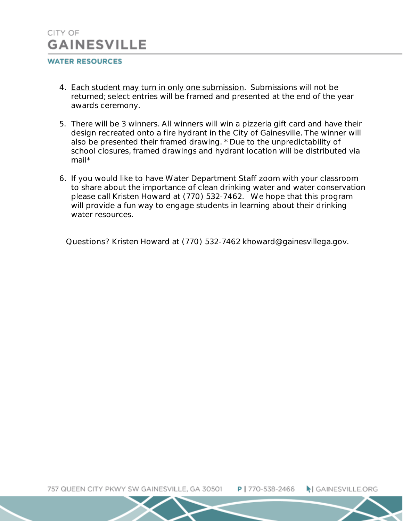## CITY OF **GAINESVILLE**

## **WATER RESOURCES**

- 4. Each student may turn in only one submission. Submissions will not be returned; select entries will be framed and presented at the end of the year awards ceremony.
- 5. There will be 3 winners. All winners will win a pizzeria gift card and have their design recreated onto a fire hydrant in the City of Gainesville. The winner will also be presented their framed drawing. \* Due to the unpredictability of school closures, framed drawings and hydrant location will be distributed via mail\*
- 6. If you would like to have Water Department Staff zoom with your classroom to share about the importance of clean drinking water and water conservation please call Kristen Howard at (770) 532-7462. We hope that this program will provide a fun way to engage students in learning about their drinking water resources.

*Questions? Kristen Howard at (770) 532-7462 khoward@gainesvillega.gov.*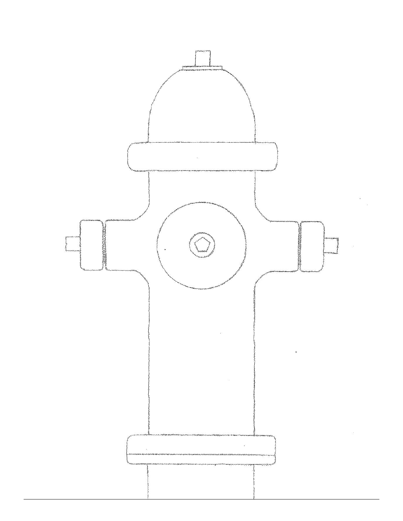